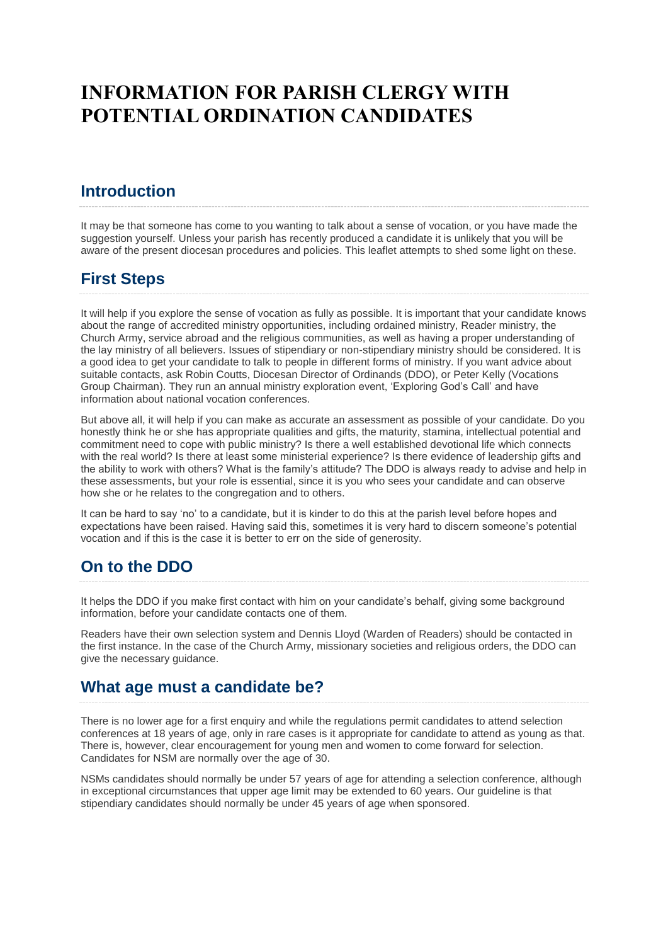# **INFORMATION FOR PARISH CLERGY WITH POTENTIAL ORDINATION CANDIDATES**

## **Introduction**

It may be that someone has come to you wanting to talk about a sense of vocation, or you have made the suggestion yourself. Unless your parish has recently produced a candidate it is unlikely that you will be aware of the present diocesan procedures and policies. This leaflet attempts to shed some light on these.

# **First Steps**

It will help if you explore the sense of vocation as fully as possible. It is important that your candidate knows about the range of accredited ministry opportunities, including ordained ministry, Reader ministry, the Church Army, service abroad and the religious communities, as well as having a proper understanding of the lay ministry of all believers. Issues of stipendiary or non-stipendiary ministry should be considered. It is a good idea to get your candidate to talk to people in different forms of ministry. If you want advice about suitable contacts, ask Robin Coutts, Diocesan Director of Ordinands (DDO), or Peter Kelly (Vocations Group Chairman). They run an annual ministry exploration event, 'Exploring God's Call' and have information about national vocation conferences.

But above all, it will help if you can make as accurate an assessment as possible of your candidate. Do you honestly think he or she has appropriate qualities and gifts, the maturity, stamina, intellectual potential and commitment need to cope with public ministry? Is there a well established devotional life which connects with the real world? Is there at least some ministerial experience? Is there evidence of leadership gifts and the ability to work with others? What is the family's attitude? The DDO is always ready to advise and help in these assessments, but your role is essential, since it is you who sees your candidate and can observe how she or he relates to the congregation and to others.

It can be hard to say 'no' to a candidate, but it is kinder to do this at the parish level before hopes and expectations have been raised. Having said this, sometimes it is very hard to discern someone's potential vocation and if this is the case it is better to err on the side of generosity.

## **On to the DDO**

It helps the DDO if you make first contact with him on your candidate's behalf, giving some background information, before your candidate contacts one of them.

Readers have their own selection system and Dennis Lloyd (Warden of Readers) should be contacted in the first instance. In the case of the Church Army, missionary societies and religious orders, the DDO can give the necessary guidance.

#### **What age must a candidate be?**

There is no lower age for a first enquiry and while the regulations permit candidates to attend selection conferences at 18 years of age, only in rare cases is it appropriate for candidate to attend as young as that. There is, however, clear encouragement for young men and women to come forward for selection. Candidates for NSM are normally over the age of 30.

NSMs candidates should normally be under 57 years of age for attending a selection conference, although in exceptional circumstances that upper age limit may be extended to 60 years. Our guideline is that stipendiary candidates should normally be under 45 years of age when sponsored.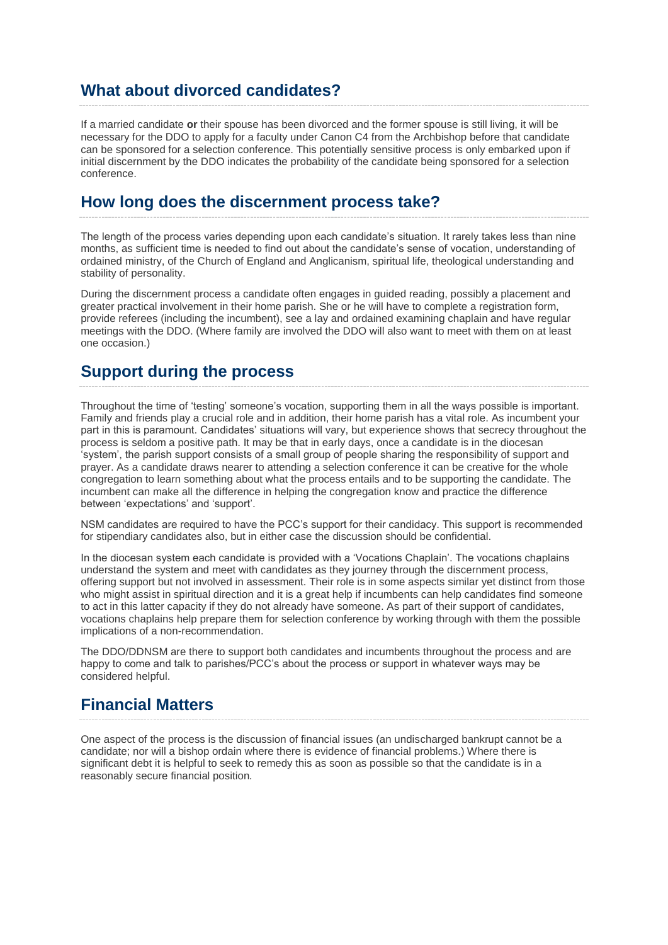#### **What about divorced candidates?**

If a married candidate **or** their spouse has been divorced and the former spouse is still living, it will be necessary for the DDO to apply for a faculty under Canon C4 from the Archbishop before that candidate can be sponsored for a selection conference. This potentially sensitive process is only embarked upon if initial discernment by the DDO indicates the probability of the candidate being sponsored for a selection conference.

#### **How long does the discernment process take?**

The length of the process varies depending upon each candidate's situation. It rarely takes less than nine months, as sufficient time is needed to find out about the candidate's sense of vocation, understanding of ordained ministry, of the Church of England and Anglicanism, spiritual life, theological understanding and stability of personality.

During the discernment process a candidate often engages in guided reading, possibly a placement and greater practical involvement in their home parish. She or he will have to complete a registration form, provide referees (including the incumbent), see a lay and ordained examining chaplain and have regular meetings with the DDO. (Where family are involved the DDO will also want to meet with them on at least one occasion.)

### **Support during the process**

Throughout the time of 'testing' someone's vocation, supporting them in all the ways possible is important. Family and friends play a crucial role and in addition, their home parish has a vital role. As incumbent your part in this is paramount. Candidates' situations will vary, but experience shows that secrecy throughout the process is seldom a positive path. It may be that in early days, once a candidate is in the diocesan 'system', the parish support consists of a small group of people sharing the responsibility of support and prayer. As a candidate draws nearer to attending a selection conference it can be creative for the whole congregation to learn something about what the process entails and to be supporting the candidate. The incumbent can make all the difference in helping the congregation know and practice the difference between 'expectations' and 'support'.

NSM candidates are required to have the PCC's support for their candidacy. This support is recommended for stipendiary candidates also, but in either case the discussion should be confidential.

In the diocesan system each candidate is provided with a 'Vocations Chaplain'. The vocations chaplains understand the system and meet with candidates as they journey through the discernment process, offering support but not involved in assessment. Their role is in some aspects similar yet distinct from those who might assist in spiritual direction and it is a great help if incumbents can help candidates find someone to act in this latter capacity if they do not already have someone. As part of their support of candidates, vocations chaplains help prepare them for selection conference by working through with them the possible implications of a non-recommendation.

The DDO/DDNSM are there to support both candidates and incumbents throughout the process and are happy to come and talk to parishes/PCC's about the process or support in whatever ways may be considered helpful.

## **Financial Matters**

One aspect of the process is the discussion of financial issues (an undischarged bankrupt cannot be a candidate; nor will a bishop ordain where there is evidence of financial problems.) Where there is significant debt it is helpful to seek to remedy this as soon as possible so that the candidate is in a reasonably secure financial position*.*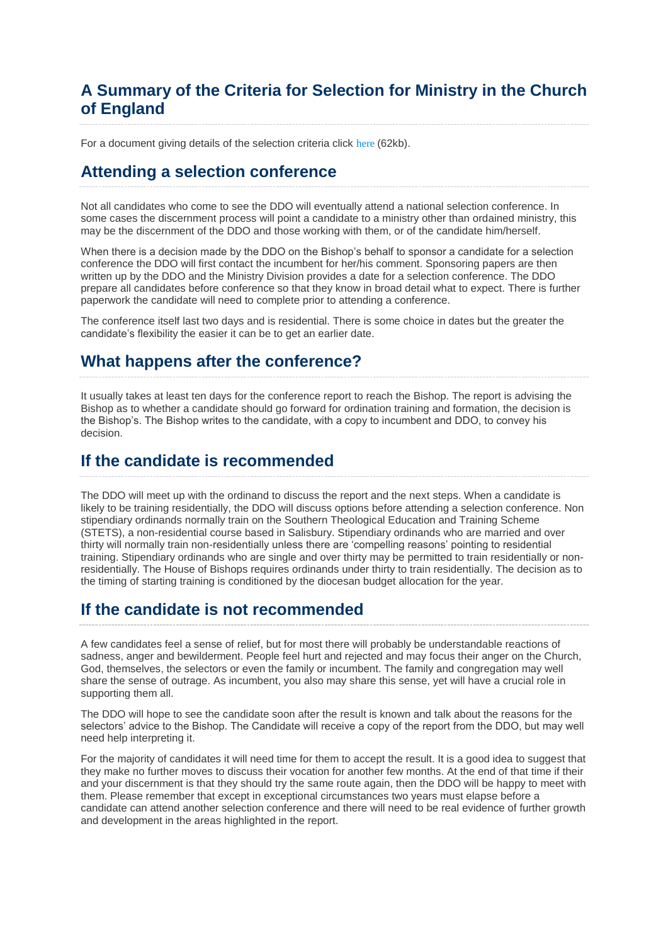## **A Summary of the Criteria for Selection for Ministry in the Church of England**

For a document giving details of the selection criteria click [here](https://cofeportsmouth.contentfiles.net/media/assets/file/Criteria_for_Ordination_selection.pdf) (62kb).

#### **Attending a selection conference**

Not all candidates who come to see the DDO will eventually attend a national selection conference. In some cases the discernment process will point a candidate to a ministry other than ordained ministry, this may be the discernment of the DDO and those working with them, or of the candidate him/herself.

When there is a decision made by the DDO on the Bishop's behalf to sponsor a candidate for a selection conference the DDO will first contact the incumbent for her/his comment. Sponsoring papers are then written up by the DDO and the Ministry Division provides a date for a selection conference. The DDO prepare all candidates before conference so that they know in broad detail what to expect. There is further paperwork the candidate will need to complete prior to attending a conference.

The conference itself last two days and is residential. There is some choice in dates but the greater the candidate's flexibility the easier it can be to get an earlier date.

#### **What happens after the conference?**

It usually takes at least ten days for the conference report to reach the Bishop. The report is advising the Bishop as to whether a candidate should go forward for ordination training and formation, the decision is the Bishop's. The Bishop writes to the candidate, with a copy to incumbent and DDO, to convey his decision.

#### **If the candidate is recommended**

The DDO will meet up with the ordinand to discuss the report and the next steps. When a candidate is likely to be training residentially, the DDO will discuss options before attending a selection conference. Non stipendiary ordinands normally train on the Southern Theological Education and Training Scheme (STETS), a non-residential course based in Salisbury. Stipendiary ordinands who are married and over thirty will normally train non-residentially unless there are 'compelling reasons' pointing to residential training. Stipendiary ordinands who are single and over thirty may be permitted to train residentially or nonresidentially. The House of Bishops requires ordinands under thirty to train residentially. The decision as to the timing of starting training is conditioned by the diocesan budget allocation for the year.

## **If the candidate is not recommended**

A few candidates feel a sense of relief, but for most there will probably be understandable reactions of sadness, anger and bewilderment. People feel hurt and rejected and may focus their anger on the Church, God, themselves, the selectors or even the family or incumbent. The family and congregation may well share the sense of outrage. As incumbent, you also may share this sense, yet will have a crucial role in supporting them all.

The DDO will hope to see the candidate soon after the result is known and talk about the reasons for the selectors' advice to the Bishop. The Candidate will receive a copy of the report from the DDO, but may well need help interpreting it.

For the majority of candidates it will need time for them to accept the result. It is a good idea to suggest that they make no further moves to discuss their vocation for another few months. At the end of that time if their and your discernment is that they should try the same route again, then the DDO will be happy to meet with them. Please remember that except in exceptional circumstances two years must elapse before a candidate can attend another selection conference and there will need to be real evidence of further growth and development in the areas highlighted in the report.